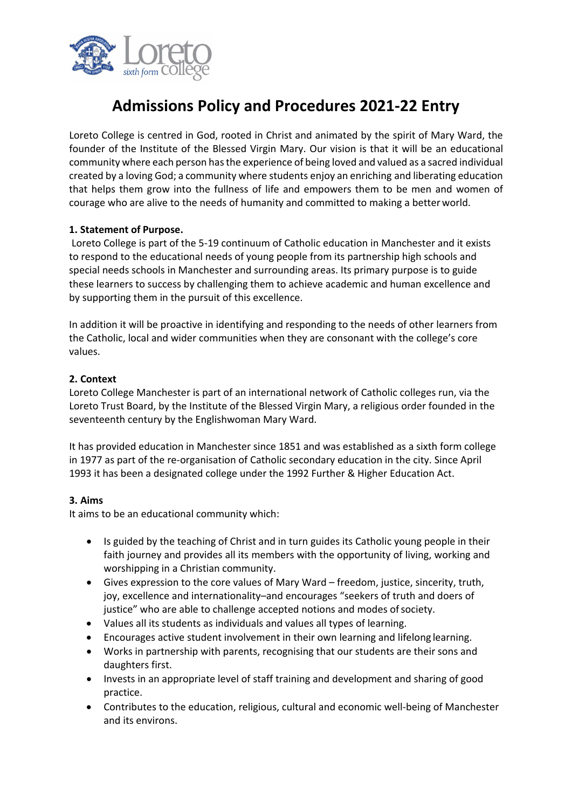

# **Admissions Policy and Procedures 2021-22 Entry**

Loreto College is centred in God, rooted in Christ and animated by the spirit of Mary Ward, the founder of the Institute of the Blessed Virgin Mary. Our vision is that it will be an educational community where each person hasthe experience of being loved and valued as a sacred individual created by a loving God; a community where students enjoy an enriching and liberating education that helps them grow into the fullness of life and empowers them to be men and women of courage who are alive to the needs of humanity and committed to making a better world.

## **1. Statement of Purpose.**

Loreto College is part of the 5-19 continuum of Catholic education in Manchester and it exists to respond to the educational needs of young people from its partnership high schools and special needs schools in Manchester and surrounding areas. Its primary purpose is to guide these learners to success by challenging them to achieve academic and human excellence and by supporting them in the pursuit of this excellence.

In addition it will be proactive in identifying and responding to the needs of other learners from the Catholic, local and wider communities when they are consonant with the college's core values.

## **2. Context**

Loreto College Manchester is part of an international network of Catholic colleges run, via the Loreto Trust Board, by the Institute of the Blessed Virgin Mary, a religious order founded in the seventeenth century by the Englishwoman Mary Ward.

It has provided education in Manchester since 1851 and was established as a sixth form college in 1977 as part of the re-organisation of Catholic secondary education in the city. Since April 1993 it has been a designated college under the 1992 Further & Higher Education Act.

## **3. Aims**

It aims to be an educational community which:

- Is guided by the teaching of Christ and in turn guides its Catholic young people in their faith journey and provides all its members with the opportunity of living, working and worshipping in a Christian community.
- Gives expression to the core values of Mary Ward freedom, justice, sincerity, truth, joy, excellence and internationality–and encourages "seekers of truth and doers of justice" who are able to challenge accepted notions and modes of society.
- Values all its students as individuals and values all types of learning.
- Encourages active student involvement in their own learning and lifelong learning.
- Works in partnership with parents, recognising that our students are their sons and daughters first.
- Invests in an appropriate level of staff training and development and sharing of good practice.
- Contributes to the education, religious, cultural and economic well-being of Manchester and its environs.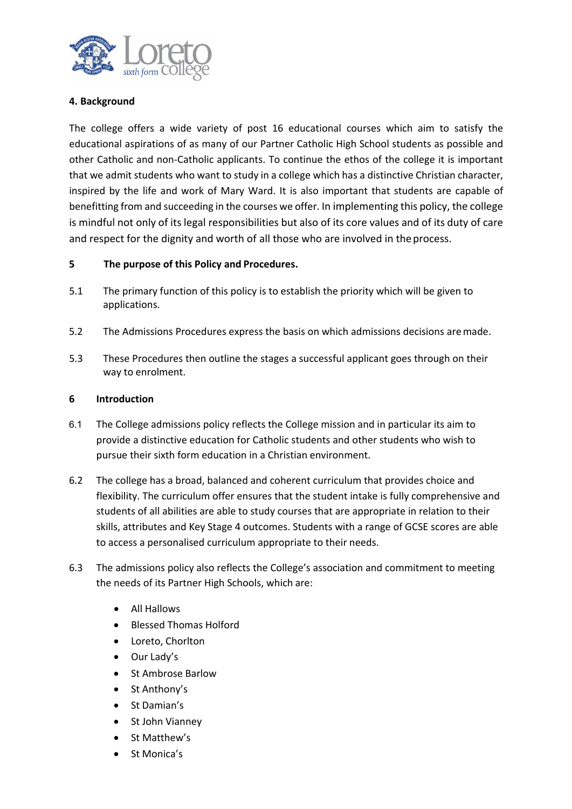

## **4. Background**

The college offers a wide variety of post 16 educational courses which aim to satisfy the educational aspirations of as many of our Partner Catholic High School students as possible and other Catholic and non-Catholic applicants. To continue the ethos of the college it is important that we admit students who want to study in a college which has a distinctive Christian character, inspired by the life and work of Mary Ward. It is also important that students are capable of benefitting from and succeeding in the courses we offer. In implementing this policy, the college is mindful not only of its legal responsibilities but also of its core values and of its duty of care and respect for the dignity and worth of all those who are involved in theprocess.

#### **5 The purpose of this Policy and Procedures.**

- 5.1 The primary function of this policy is to establish the priority which will be given to applications.
- 5.2 The Admissions Procedures express the basis on which admissions decisions aremade.
- 5.3 These Procedures then outline the stages a successful applicant goes through on their way to enrolment.

#### **6 Introduction**

- 6.1 The College admissions policy reflects the College mission and in particular its aim to provide a distinctive education for Catholic students and other students who wish to pursue their sixth form education in a Christian environment.
- 6.2 The college has a broad, balanced and coherent curriculum that provides choice and flexibility. The curriculum offer ensures that the student intake is fully comprehensive and students of all abilities are able to study courses that are appropriate in relation to their skills, attributes and Key Stage 4 outcomes. Students with a range of GCSE scores are able to access a personalised curriculum appropriate to their needs.
- 6.3 The admissions policy also reflects the College's association and commitment to meeting the needs of its Partner High Schools, which are:
	- All Hallows
	- Blessed Thomas Holford
	- Loreto, Chorlton
	- Our Lady's
	- St Ambrose Barlow
	- St Anthony's
	- St Damian's
	- St John Vianney
	- St Matthew's
	- St Monica's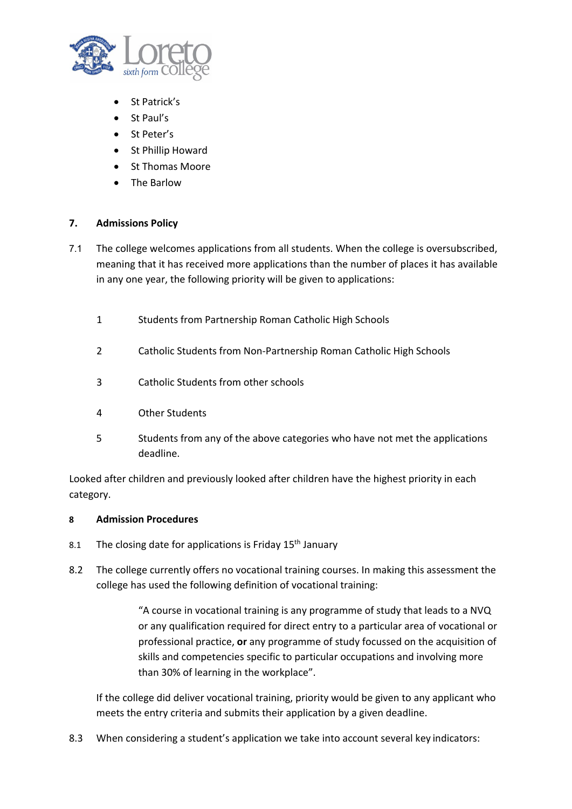

- St Patrick's
- St Paul's
- St Peter's
- St Phillip Howard
- St Thomas Moore
- The Barlow

## **7. Admissions Policy**

- 7.1 The college welcomes applications from all students. When the college is oversubscribed, meaning that it has received more applications than the number of places it has available in any one year, the following priority will be given to applications:
	- 1 Students from Partnership Roman Catholic High Schools
	- 2 Catholic Students from Non-Partnership Roman Catholic High Schools
	- 3 Catholic Students from other schools
	- 4 Other Students
	- 5 Students from any of the above categories who have not met the applications deadline.

Looked after children and previously looked after children have the highest priority in each category.

#### **8 Admission Procedures**

- 8.1 The closing date for applications is Friday  $15<sup>th</sup>$  January
- 8.2 The college currently offers no vocational training courses. In making this assessment the college has used the following definition of vocational training:

"A course in vocational training is any programme of study that leads to a NVQ or any qualification required for direct entry to a particular area of vocational or professional practice, **or** any programme of study focussed on the acquisition of skills and competencies specific to particular occupations and involving more than 30% of learning in the workplace".

If the college did deliver vocational training, priority would be given to any applicant who meets the entry criteria and submits their application by a given deadline.

8.3 When considering a student's application we take into account several key indicators: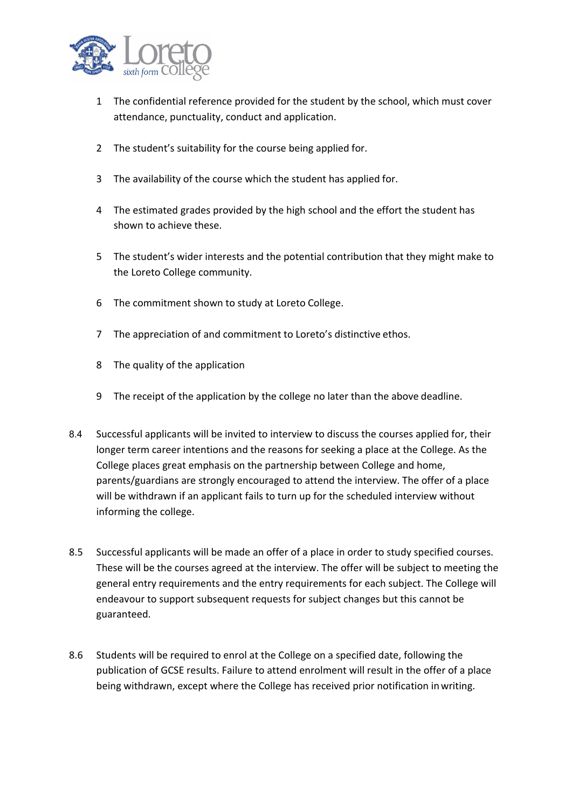

- 1 The confidential reference provided for the student by the school, which must cover attendance, punctuality, conduct and application.
- 2 The student's suitability for the course being applied for.
- 3 The availability of the course which the student has applied for.
- 4 The estimated grades provided by the high school and the effort the student has shown to achieve these.
- 5 The student's wider interests and the potential contribution that they might make to the Loreto College community.
- 6 The commitment shown to study at Loreto College.
- 7 The appreciation of and commitment to Loreto's distinctive ethos.
- 8 The quality of the application
- 9 The receipt of the application by the college no later than the above deadline.
- 8.4 Successful applicants will be invited to interview to discuss the courses applied for, their longer term career intentions and the reasons for seeking a place at the College. As the College places great emphasis on the partnership between College and home, parents/guardians are strongly encouraged to attend the interview. The offer of a place will be withdrawn if an applicant fails to turn up for the scheduled interview without informing the college.
- 8.5 Successful applicants will be made an offer of a place in order to study specified courses. These will be the courses agreed at the interview. The offer will be subject to meeting the general entry requirements and the entry requirements for each subject. The College will endeavour to support subsequent requests for subject changes but this cannot be guaranteed.
- 8.6 Students will be required to enrol at the College on a specified date, following the publication of GCSE results. Failure to attend enrolment will result in the offer of a place being withdrawn, except where the College has received prior notification inwriting.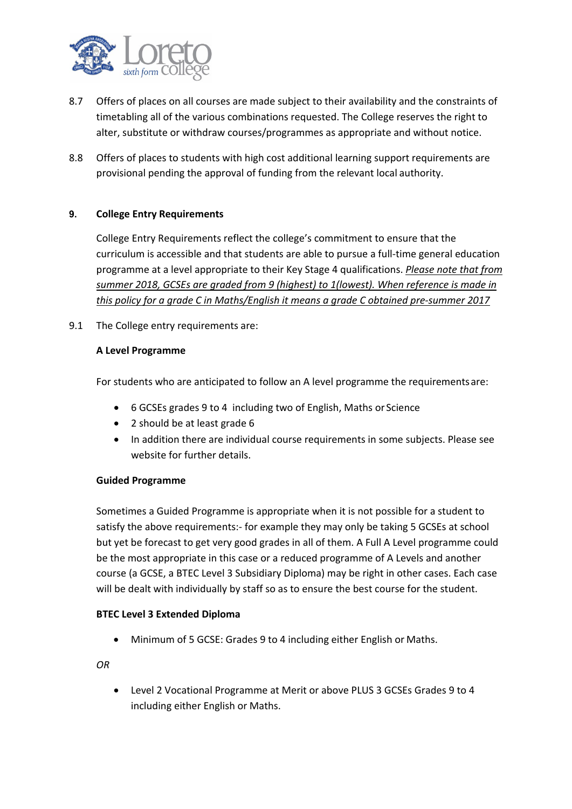

- 8.7 Offers of places on all courses are made subject to their availability and the constraints of timetabling all of the various combinations requested. The College reserves the right to alter, substitute or withdraw courses/programmes as appropriate and without notice.
- 8.8 Offers of places to students with high cost additional learning support requirements are provisional pending the approval of funding from the relevant local authority.

## **9. College Entry Requirements**

College Entry Requirements reflect the college's commitment to ensure that the curriculum is accessible and that students are able to pursue a full-time general education programme at a level appropriate to their Key Stage 4 qualifications. *Please note that from summer 2018, GCSEs are graded from 9 (highest) to 1(lowest). When reference is made in this policy for a grade C in Maths/English it means a grade C obtained pre-summer 2017*

9.1 The College entry requirements are:

## **A Level Programme**

For students who are anticipated to follow an A level programme the requirementsare:

- 6 GCSEs grades 9 to 4 including two of English, Maths or Science
- 2 should be at least grade 6
- In addition there are individual course requirements in some subjects. Please see website for further details.

#### **Guided Programme**

Sometimes a Guided Programme is appropriate when it is not possible for a student to satisfy the above requirements:- for example they may only be taking 5 GCSEs at school but yet be forecast to get very good grades in all of them. A Full A Level programme could be the most appropriate in this case or a reduced programme of A Levels and another course (a GCSE, a BTEC Level 3 Subsidiary Diploma) may be right in other cases. Each case will be dealt with individually by staff so as to ensure the best course for the student.

#### **BTEC Level 3 Extended Diploma**

• Minimum of 5 GCSE: Grades 9 to 4 including either English or Maths.

*OR*

• Level 2 Vocational Programme at Merit or above PLUS 3 GCSEs Grades 9 to 4 including either English or Maths.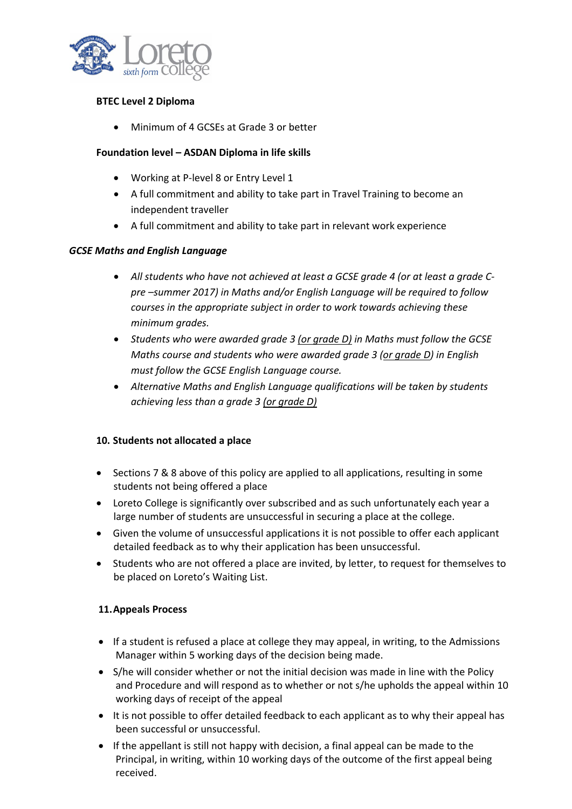

## **BTEC Level 2 Diploma**

• Minimum of 4 GCSEs at Grade 3 or better

## **Foundation level – ASDAN Diploma in life skills**

- Working at P-level 8 or Entry Level 1
- A full commitment and ability to take part in Travel Training to become an independent traveller
- A full commitment and ability to take part in relevant work experience

#### *GCSE Maths and English Language*

- *All students who have not achieved at least a GCSE grade 4 (or at least a grade Cpre –summer 2017) in Maths and/or English Language will be required to follow courses in the appropriate subject in order to work towards achieving these minimum grades.*
- *Students who were awarded grade 3 (or grade D) in Maths must follow the GCSE Maths course and students who were awarded grade 3 (or grade D) in English must follow the GCSE English Language course.*
- *Alternative Maths and English Language qualifications will be taken by students achieving less than a grade 3 (or grade D)*

#### **10. Students not allocated a place**

- Sections 7 & 8 above of this policy are applied to all applications, resulting in some students not being offered a place
- Loreto College is significantly over subscribed and as such unfortunately each year a large number of students are unsuccessful in securing a place at the college.
- Given the volume of unsuccessful applications it is not possible to offer each applicant detailed feedback as to why their application has been unsuccessful.
- Students who are not offered a place are invited, by letter, to request for themselves to be placed on Loreto's Waiting List.

#### **11.Appeals Process**

- If a student is refused a place at college they may appeal, in writing, to the Admissions Manager within 5 working days of the decision being made.
- S/he will consider whether or not the initial decision was made in line with the Policy and Procedure and will respond as to whether or not s/he upholds the appeal within 10 working days of receipt of the appeal
- It is not possible to offer detailed feedback to each applicant as to why their appeal has been successful or unsuccessful.
- If the appellant is still not happy with decision, a final appeal can be made to the Principal, in writing, within 10 working days of the outcome of the first appeal being received.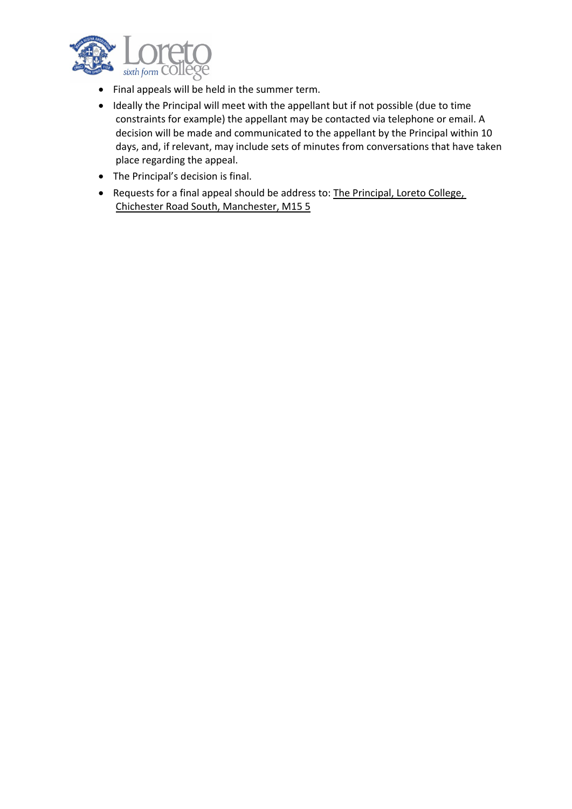

- Final appeals will be held in the summer term.
- Ideally the Principal will meet with the appellant but if not possible (due to time constraints for example) the appellant may be contacted via telephone or email. A decision will be made and communicated to the appellant by the Principal within 10 days, and, if relevant, may include sets of minutes from conversations that have taken place regarding the appeal.
- The Principal's decision is final.
- Requests for a final appeal should be address to: The Principal, Loreto College, Chichester Road South, Manchester, M15 5